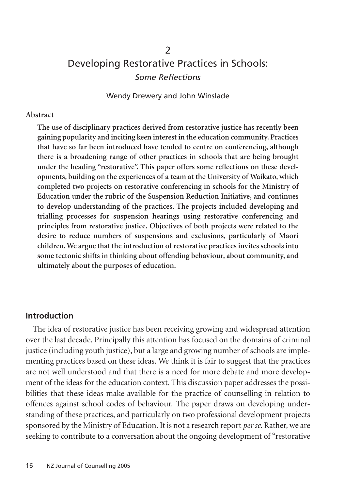# $\mathcal{P}$ Developing Restorative Practices in Schools: *Some Reflections*

Wendy Drewery and John Winslade

#### **Abstract**

**The use of disciplinary practices derived from restorative justice has recently been gaining popularity and inciting keen interest in the education community. Practices that have so far been introduced have tended to centre on conferencing, although there is a broadening range of other practices in schools that are being brought under the heading "restorative". This paper offers some reflections on these developments, building on the experiences of a team at the University of Waikato, which completed two projects on restorative conferencing in schools for the Ministry of Education under the rubric of the Suspension Reduction Initiative, and continues to develop understanding of the practices. The projects included developing and trialling processes for suspension hearings using restorative conferencing and principles from restorative justice. Objectives of both projects were related to the desire to reduce numbers of suspensions and exclusions, particularly of Maori children. We argue that the introduction of restorative practices invites schools into some tectonic shifts in thinking about offending behaviour, about community, and ultimately about the purposes of education.**

#### **Introduction**

The idea of restorative justice has been receiving growing and widespread attention over the last decade. Principally this attention has focused on the domains of criminal justice (including youth justice), but a large and growing number of schools are implementing practices based on these ideas. We think it is fair to suggest that the practices are not well understood and that there is a need for more debate and more development of the ideas for the education context. This discussion paper addresses the possibilities that these ideas make available for the practice of counselling in relation to offences against school codes of behaviour. The paper draws on developing understanding of these practices, and particularly on two professional development projects sponsored by the Ministry of Education. It is not a research report *per se*. Rather, we are seeking to contribute to a conversation about the ongoing development of "restorative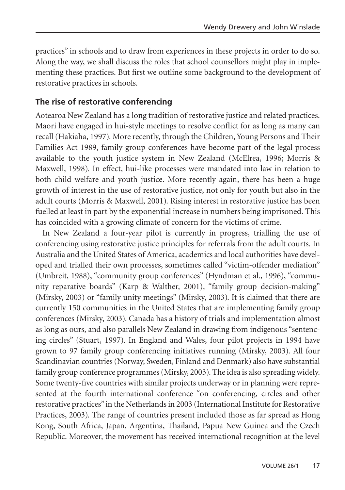practices" in schools and to draw from experiences in these projects in order to do so. Along the way, we shall discuss the roles that school counsellors might play in implementing these practices. But first we outline some background to the development of restorative practices in schools.

### **The rise of restorative conferencing**

Aotearoa New Zealand has a long tradition of restorative justice and related practices. Maori have engaged in hui-style meetings to resolve conflict for as long as many can recall (Hakiaha, 1997). More recently, through the Children, Young Persons and Their Families Act 1989, family group conferences have become part of the legal process available to the youth justice system in New Zealand (McElrea, 1996; Morris & Maxwell, 1998). In effect, hui-like processes were mandated into law in relation to both child welfare and youth justice. More recently again, there has been a huge growth of interest in the use of restorative justice, not only for youth but also in the adult courts (Morris & Maxwell, 2001). Rising interest in restorative justice has been fuelled at least in part by the exponential increase in numbers being imprisoned. This has coincided with a growing climate of concern for the victims of crime.

In New Zealand a four-year pilot is currently in progress, trialling the use of conferencing using restorative justice principles for referrals from the adult courts. In Australia and the United States of America, academics and local authorities have developed and trialled their own processes, sometimes called "victim-offender mediation" (Umbreit, 1988), "community group conferences" (Hyndman et al., 1996), "community reparative boards" (Karp & Walther, 2001), "family group decision-making" (Mirsky, 2003) or "family unity meetings" (Mirsky, 2003). It is claimed that there are currently 150 communities in the United States that are implementing family group conferences (Mirsky, 2003). Canada has a history of trials and implementation almost as long as ours, and also parallels New Zealand in drawing from indigenous "sentencing circles" (Stuart, 1997). In England and Wales, four pilot projects in 1994 have grown to 97 family group conferencing initiatives running (Mirsky, 2003). All four Scandinavian countries (Norway, Sweden, Finland and Denmark) also have substantial family group conference programmes (Mirsky, 2003). The idea is also spreading widely. Some twenty-five countries with similar projects underway or in planning were represented at the fourth international conference "on conferencing, circles and other restorative practices" in the Netherlands in 2003 (International Institute for Restorative Practices, 2003). The range of countries present included those as far spread as Hong Kong, South Africa, Japan, Argentina, Thailand, Papua New Guinea and the Czech Republic. Moreover, the movement has received international recognition at the level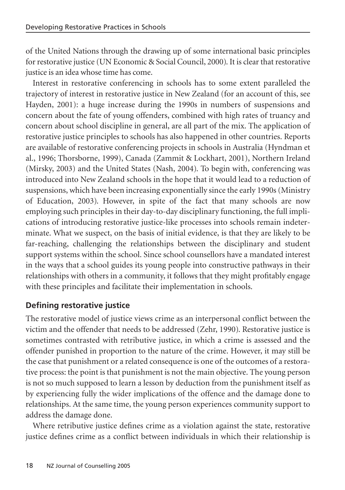of the United Nations through the drawing up of some international basic principles for restorative justice (UN Economic & Social Council, 2000). It is clear that restorative justice is an idea whose time has come.

Interest in restorative conferencing in schools has to some extent paralleled the trajectory of interest in restorative justice in New Zealand (for an account of this, see Hayden, 2001): a huge increase during the 1990s in numbers of suspensions and concern about the fate of young offenders, combined with high rates of truancy and concern about school discipline in general, are all part of the mix. The application of restorative justice principles to schools has also happened in other countries. Reports are available of restorative conferencing projects in schools in Australia (Hyndman et al., 1996; Thorsborne, 1999), Canada (Zammit & Lockhart, 2001), Northern Ireland (Mirsky, 2003) and the United States (Nash, 2004). To begin with, conferencing was introduced into New Zealand schools in the hope that it would lead to a reduction of suspensions, which have been increasing exponentially since the early 1990s (Ministry of Education, 2003). However, in spite of the fact that many schools are now employing such principles in their day-to-day disciplinary functioning, the full implications of introducing restorative justice-like processes into schools remain indeterminate. What we suspect, on the basis of initial evidence, is that they are likely to be far-reaching, challenging the relationships between the disciplinary and student support systems within the school. Since school counsellors have a mandated interest in the ways that a school guides its young people into constructive pathways in their relationships with others in a community, it follows that they might profitably engage with these principles and facilitate their implementation in schools.

## **Defining restorative justice**

The restorative model of justice views crime as an interpersonal conflict between the victim and the offender that needs to be addressed (Zehr, 1990). Restorative justice is sometimes contrasted with retributive justice, in which a crime is assessed and the offender punished in proportion to the nature of the crime. However, it may still be the case that punishment or a related consequence is one of the outcomes of a restorative process: the point is that punishment is not the main objective. The young person is not so much supposed to learn a lesson by deduction from the punishment itself as by experiencing fully the wider implications of the offence and the damage done to relationships. At the same time, the young person experiences community support to address the damage done.

Where retributive justice defines crime as a violation against the state, restorative justice defines crime as a conflict between individuals in which their relationship is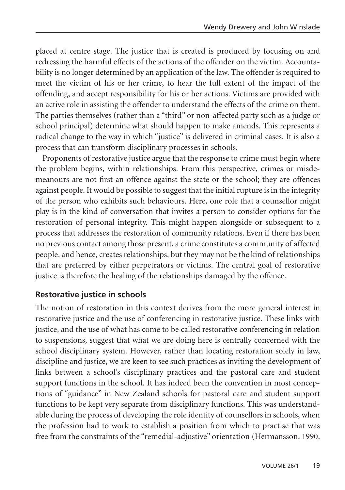placed at centre stage. The justice that is created is produced by focusing on and redressing the harmful effects of the actions of the offender on the victim. Accountability is no longer determined by an application of the law. The offender is required to meet the victim of his or her crime, to hear the full extent of the impact of the offending, and accept responsibility for his or her actions. Victims are provided with an active role in assisting the offender to understand the effects of the crime on them. The parties themselves (rather than a "third" or non-affected party such as a judge or school principal) determine what should happen to make amends. This represents a radical change to the way in which "justice" is delivered in criminal cases. It is also a process that can transform disciplinary processes in schools.

Proponents of restorative justice argue that the response to crime must begin where the problem begins, within relationships. From this perspective, crimes or misdemeanours are not first an offence against the state or the school; they are offences against people. It would be possible to suggest that the initial rupture is in the integrity of the person who exhibits such behaviours. Here, one role that a counsellor might play is in the kind of conversation that invites a person to consider options for the restoration of personal integrity. This might happen alongside or subsequent to a process that addresses the restoration of community relations. Even if there has been no previous contact among those present, a crime constitutes a community of affected people, and hence, creates relationships, but they may not be the kind of relationships that are preferred by either perpetrators or victims. The central goal of restorative justice is therefore the healing of the relationships damaged by the offence.

#### **Restorative justice in schools**

The notion of restoration in this context derives from the more general interest in restorative justice and the use of conferencing in restorative justice. These links with justice, and the use of what has come to be called restorative conferencing in relation to suspensions, suggest that what we are doing here is centrally concerned with the school disciplinary system. However, rather than locating restoration solely in law, discipline and justice, we are keen to see such practices as inviting the development of links between a school's disciplinary practices and the pastoral care and student support functions in the school. It has indeed been the convention in most conceptions of "guidance" in New Zealand schools for pastoral care and student support functions to be kept very separate from disciplinary functions. This was understandable during the process of developing the role identity of counsellors in schools, when the profession had to work to establish a position from which to practise that was free from the constraints of the "remedial-adjustive" orientation (Hermansson, 1990,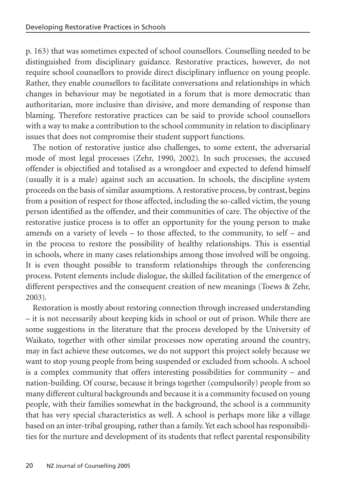p. 163) that was sometimes expected of school counsellors. Counselling needed to be distinguished from disciplinary guidance. Restorative practices, however, do not require school counsellors to provide direct disciplinary influence on young people. Rather, they enable counsellors to facilitate conversations and relationships in which changes in behaviour may be negotiated in a forum that is more democratic than authoritarian, more inclusive than divisive, and more demanding of response than blaming. Therefore restorative practices can be said to provide school counsellors with a way to make a contribution to the school community in relation to disciplinary issues that does not compromise their student support functions.

The notion of restorative justice also challenges, to some extent, the adversarial mode of most legal processes (Zehr, 1990, 2002). In such processes, the accused offender is objectified and totalised as a wrongdoer and expected to defend himself (usually it is a male) against such an accusation. In schools, the discipline system proceeds on the basis of similar assumptions. A restorative process, by contrast, begins from a position of respect for those affected, including the so-called victim, the young person identified as the offender, and their communities of care. The objective of the restorative justice process is to offer an opportunity for the young person to make amends on a variety of levels – to those affected, to the community, to self – and in the process to restore the possibility of healthy relationships. This is essential in schools, where in many cases relationships among those involved will be ongoing. It is even thought possible to transform relationships through the conferencing process. Potent elements include dialogue, the skilled facilitation of the emergence of different perspectives and the consequent creation of new meanings (Toews & Zehr, 2003).

Restoration is mostly about restoring connection through increased understanding – it is not necessarily about keeping kids in school or out of prison. While there are some suggestions in the literature that the process developed by the University of Waikato, together with other similar processes now operating around the country, may in fact achieve these outcomes, we do not support this project solely because we want to stop young people from being suspended or excluded from schools. A school is a complex community that offers interesting possibilities for community – and nation-building. Of course, because it brings together (compulsorily) people from so many different cultural backgrounds and because it is a community focused on young people, with their families somewhat in the background, the school is a community that has very special characteristics as well. A school is perhaps more like a village based on an inter-tribal grouping, rather than a family. Yet each school has responsibilities for the nurture and development of its students that reflect parental responsibility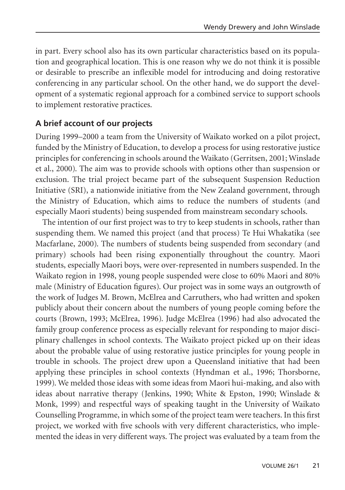in part. Every school also has its own particular characteristics based on its population and geographical location. This is one reason why we do not think it is possible or desirable to prescribe an inflexible model for introducing and doing restorative conferencing in any particular school. On the other hand, we do support the development of a systematic regional approach for a combined service to support schools to implement restorative practices.

### **A brief account of our projects**

During 1999–2000 a team from the University of Waikato worked on a pilot project, funded by the Ministry of Education, to develop a process for using restorative justice principles for conferencing in schools around the Waikato (Gerritsen, 2001; Winslade et al., 2000). The aim was to provide schools with options other than suspension or exclusion. The trial project became part of the subsequent Suspension Reduction Initiative (SRI), a nationwide initiative from the New Zealand government, through the Ministry of Education, which aims to reduce the numbers of students (and especially Maori students) being suspended from mainstream secondary schools.

The intention of our first project was to try to keep students in schools, rather than suspending them. We named this project (and that process) Te Hui Whakatika (see Macfarlane, 2000). The numbers of students being suspended from secondary (and primary) schools had been rising exponentially throughout the country. Maori students, especially Maori boys, were over-represented in numbers suspended. In the Waikato region in 1998, young people suspended were close to 60% Maori and 80% male (Ministry of Education figures). Our project was in some ways an outgrowth of the work of Judges M. Brown, McElrea and Carruthers, who had written and spoken publicly about their concern about the numbers of young people coming before the courts (Brown, 1993; McElrea, 1996). Judge McElrea (1996) had also advocated the family group conference process as especially relevant for responding to major disciplinary challenges in school contexts. The Waikato project picked up on their ideas about the probable value of using restorative justice principles for young people in trouble in schools. The project drew upon a Queensland initiative that had been applying these principles in school contexts (Hyndman et al., 1996; Thorsborne, 1999). We melded those ideas with some ideas from Maori hui-making, and also with ideas about narrative therapy (Jenkins, 1990; White & Epston, 1990; Winslade & Monk, 1999) and respectful ways of speaking taught in the University of Waikato Counselling Programme, in which some of the project team were teachers. In this first project, we worked with five schools with very different characteristics, who implemented the ideas in very different ways. The project was evaluated by a team from the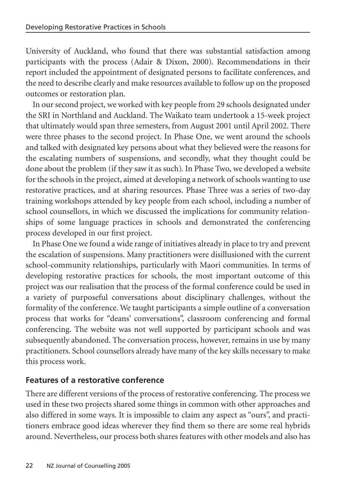University of Auckland, who found that there was substantial satisfaction among participants with the process (Adair & Dixon, 2000). Recommendations in their report included the appointment of designated persons to facilitate conferences, and the need to describe clearly and make resources available to follow up on the proposed outcomes or restoration plan.

In our second project, we worked with key people from 29 schools designated under the SRI in Northland and Auckland. The Waikato team undertook a 15-week project that ultimately would span three semesters, from August 2001 until April 2002. There were three phases to the second project. In Phase One, we went around the schools and talked with designated key persons about what they believed were the reasons for the escalating numbers of suspensions, and secondly, what they thought could be done about the problem (if they saw it as such). In Phase Two, we developed a website for the schools in the project, aimed at developing a network of schools wanting to use restorative practices, and at sharing resources. Phase Three was a series of two-day training workshops attended by key people from each school, including a number of school counsellors, in which we discussed the implications for community relationships of some language practices in schools and demonstrated the conferencing process developed in our first project.

In Phase One we found a wide range of initiatives already in place to try and prevent the escalation of suspensions. Many practitioners were disillusioned with the current school-community relationships, particularly with Maori communities. In terms of developing restorative practices for schools, the most important outcome of this project was our realisation that the process of the formal conference could be used in a variety of purposeful conversations about disciplinary challenges, without the formality of the conference. We taught participants a simple outline of a conversation process that works for "deans' conversations", classroom conferencing and formal conferencing. The website was not well supported by participant schools and was subsequently abandoned. The conversation process, however, remains in use by many practitioners. School counsellors already have many of the key skills necessary to make this process work.

## **Features of a restorative conference**

There are different versions of the process of restorative conferencing. The process we used in these two projects shared some things in common with other approaches and also differed in some ways. It is impossible to claim any aspect as "ours", and practitioners embrace good ideas wherever they find them so there are some real hybrids around. Nevertheless, our process both shares features with other models and also has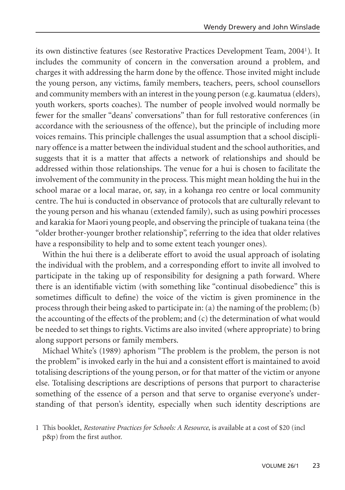its own distinctive features (see Restorative Practices Development Team, 20041). It includes the community of concern in the conversation around a problem, and charges it with addressing the harm done by the offence. Those invited might include the young person, any victims, family members, teachers, peers, school counsellors and community members with an interest in the young person (e.g. kaumatua (elders), youth workers, sports coaches). The number of people involved would normally be fewer for the smaller "deans' conversations" than for full restorative conferences (in accordance with the seriousness of the offence), but the principle of including more voices remains. This principle challenges the usual assumption that a school disciplinary offence is a matter between the individual student and the school authorities, and suggests that it is a matter that affects a network of relationships and should be addressed within those relationships. The venue for a hui is chosen to facilitate the involvement of the community in the process. This might mean holding the hui in the school marae or a local marae, or, say, in a kohanga reo centre or local community centre. The hui is conducted in observance of protocols that are culturally relevant to the young person and his whanau (extended family), such as using powhiri processes and karakia for Maori young people, and observing the principle of tuakana teina (the "older brother-younger brother relationship", referring to the idea that older relatives have a responsibility to help and to some extent teach younger ones).

Within the hui there is a deliberate effort to avoid the usual approach of isolating the individual with the problem, and a corresponding effort to invite all involved to participate in the taking up of responsibility for designing a path forward. Where there is an identifiable victim (with something like "continual disobedience" this is sometimes difficult to define) the voice of the victim is given prominence in the process through their being asked to participate in: (a) the naming of the problem; (b) the accounting of the effects of the problem; and (c) the determination of what would be needed to set things to rights. Victims are also invited (where appropriate) to bring along support persons or family members.

Michael White's (1989) aphorism "The problem is the problem, the person is not the problem" is invoked early in the hui and a consistent effort is maintained to avoid totalising descriptions of the young person, or for that matter of the victim or anyone else. Totalising descriptions are descriptions of persons that purport to characterise something of the essence of a person and that serve to organise everyone's understanding of that person's identity, especially when such identity descriptions are

<sup>1</sup> This booklet, *Restorative Practices for Schools: A Resource*, is available at a cost of \$20 (incl p&p) from the first author.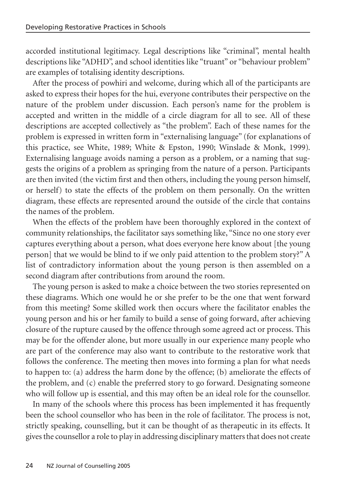accorded institutional legitimacy. Legal descriptions like "criminal", mental health descriptions like "ADHD", and school identities like "truant" or "behaviour problem" are examples of totalising identity descriptions.

After the process of powhiri and welcome, during which all of the participants are asked to express their hopes for the hui, everyone contributes their perspective on the nature of the problem under discussion. Each person's name for the problem is accepted and written in the middle of a circle diagram for all to see. All of these descriptions are accepted collectively as "the problem". Each of these names for the problem is expressed in written form in "externalising language" (for explanations of this practice, see White, 1989; White & Epston, 1990; Winslade & Monk, 1999). Externalising language avoids naming a person as a problem, or a naming that suggests the origins of a problem as springing from the nature of a person. Participants are then invited (the victim first and then others, including the young person himself, or herself) to state the effects of the problem on them personally. On the written diagram, these effects are represented around the outside of the circle that contains the names of the problem.

When the effects of the problem have been thoroughly explored in the context of community relationships, the facilitator says something like, "Since no one story ever captures everything about a person, what does everyone here know about [the young person] that we would be blind to if we only paid attention to the problem story?" A list of contradictory information about the young person is then assembled on a second diagram after contributions from around the room.

The young person is asked to make a choice between the two stories represented on these diagrams. Which one would he or she prefer to be the one that went forward from this meeting? Some skilled work then occurs where the facilitator enables the young person and his or her family to build a sense of going forward, after achieving closure of the rupture caused by the offence through some agreed act or process. This may be for the offender alone, but more usually in our experience many people who are part of the conference may also want to contribute to the restorative work that follows the conference. The meeting then moves into forming a plan for what needs to happen to: (a) address the harm done by the offence; (b) ameliorate the effects of the problem, and (c) enable the preferred story to go forward. Designating someone who will follow up is essential, and this may often be an ideal role for the counsellor.

In many of the schools where this process has been implemented it has frequently been the school counsellor who has been in the role of facilitator. The process is not, strictly speaking, counselling, but it can be thought of as therapeutic in its effects. It gives the counsellor a role to play in addressing disciplinary matters that does not create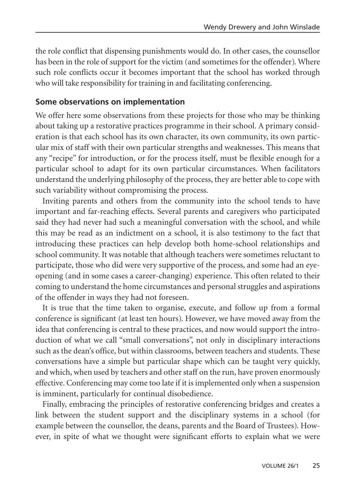the role conflict that dispensing punishments would do. In other cases, the counsellor has been in the role of support for the victim (and sometimes for the offender). Where such role conflicts occur it becomes important that the school has worked through who will take responsibility for training in and facilitating conferencing.

#### **Some observations on implementation**

We offer here some observations from these projects for those who may be thinking about taking up a restorative practices programme in their school. A primary consideration is that each school has its own character, its own community, its own particular mix of staff with their own particular strengths and weaknesses. This means that any "recipe" for introduction, or for the process itself, must be flexible enough for a particular school to adapt for its own particular circumstances. When facilitators understand the underlying philosophy of the process, they are better able to cope with such variability without compromising the process.

Inviting parents and others from the community into the school tends to have important and far-reaching effects. Several parents and caregivers who participated said they had never had such a meaningful conversation with the school, and while this may be read as an indictment on a school, it is also testimony to the fact that introducing these practices can help develop both home-school relationships and school community. It was notable that although teachers were sometimes reluctant to participate, those who did were very supportive of the process, and some had an eyeopening (and in some cases a career-changing) experience. This often related to their coming to understand the home circumstances and personal struggles and aspirations of the offender in ways they had not foreseen.

It is true that the time taken to organise, execute, and follow up from a formal conference is significant (at least ten hours). However, we have moved away from the idea that conferencing is central to these practices, and now would support the introduction of what we call "small conversations", not only in disciplinary interactions such as the dean's office, but within classrooms, between teachers and students. These conversations have a simple but particular shape which can be taught very quickly, and which, when used by teachers and other staff on the run, have proven enormously effective. Conferencing may come too late if it is implemented only when a suspension is imminent, particularly for continual disobedience.

Finally, embracing the principles of restorative conferencing bridges and creates a link between the student support and the disciplinary systems in a school (for example between the counsellor, the deans, parents and the Board of Trustees). However, in spite of what we thought were significant efforts to explain what we were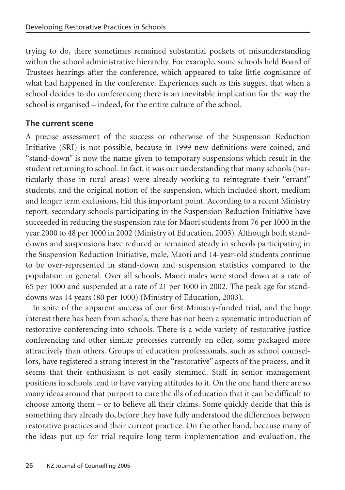trying to do, there sometimes remained substantial pockets of misunderstanding within the school administrative hierarchy. For example, some schools held Board of Trustees hearings after the conference, which appeared to take little cognisance of what had happened in the conference. Experiences such as this suggest that when a school decides to do conferencing there is an inevitable implication for the way the school is organised – indeed, for the entire culture of the school.

### **The current scene**

A precise assessment of the success or otherwise of the Suspension Reduction Initiative (SRI) is not possible, because in 1999 new definitions were coined, and "stand-down" is now the name given to temporary suspensions which result in the student returning to school. In fact, it was our understanding that many schools (particularly those in rural areas) were already working to reintegrate their "errant" students, and the original notion of the suspension, which included short, medium and longer term exclusions, hid this important point. According to a recent Ministry report, secondary schools participating in the Suspension Reduction Initiative have succeeded in reducing the suspension rate for Maori students from 76 per 1000 in the year 2000 to 48 per 1000 in 2002 (Ministry of Education, 2003). Although both standdowns and suspensions have reduced or remained steady in schools participating in the Suspension Reduction Initiative, male, Maori and 14-year-old students continue to be over-represented in stand-down and suspension statistics compared to the population in general. Over all schools, Maori males were stood down at a rate of 65 per 1000 and suspended at a rate of 21 per 1000 in 2002. The peak age for standdowns was 14 years (80 per 1000) (Ministry of Education, 2003).

In spite of the apparent success of our first Ministry-funded trial, and the huge interest there has been from schools, there has not been a systematic introduction of restorative conferencing into schools. There is a wide variety of restorative justice conferencing and other similar processes currently on offer, some packaged more attractively than others. Groups of education professionals, such as school counsellors, have registered a strong interest in the "restorative" aspects of the process, and it seems that their enthusiasm is not easily stemmed. Staff in senior management positions in schools tend to have varying attitudes to it. On the one hand there are so many ideas around that purport to cure the ills of education that it can be difficult to choose among them – or to believe all their claims. Some quickly decide that this is something they already do, before they have fully understood the differences between restorative practices and their current practice. On the other hand, because many of the ideas put up for trial require long term implementation and evaluation, the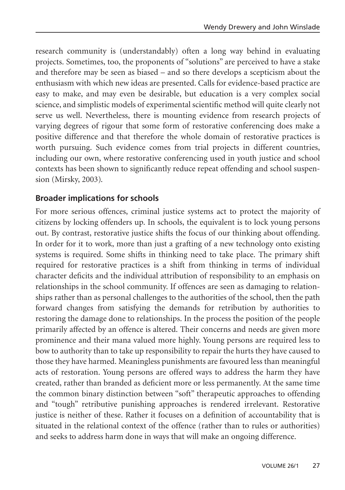research community is (understandably) often a long way behind in evaluating projects. Sometimes, too, the proponents of "solutions" are perceived to have a stake and therefore may be seen as biased – and so there develops a scepticism about the enthusiasm with which new ideas are presented. Calls for evidence-based practice are easy to make, and may even be desirable, but education is a very complex social science, and simplistic models of experimental scientific method will quite clearly not serve us well. Nevertheless, there is mounting evidence from research projects of varying degrees of rigour that some form of restorative conferencing does make a positive difference and that therefore the whole domain of restorative practices is worth pursuing. Such evidence comes from trial projects in different countries, including our own, where restorative conferencing used in youth justice and school contexts has been shown to significantly reduce repeat offending and school suspension (Mirsky, 2003).

#### **Broader implications for schools**

For more serious offences, criminal justice systems act to protect the majority of citizens by locking offenders up. In schools, the equivalent is to lock young persons out. By contrast, restorative justice shifts the focus of our thinking about offending. In order for it to work, more than just a grafting of a new technology onto existing systems is required. Some shifts in thinking need to take place. The primary shift required for restorative practices is a shift from thinking in terms of individual character deficits and the individual attribution of responsibility to an emphasis on relationships in the school community. If offences are seen as damaging to relationships rather than as personal challenges to the authorities of the school, then the path forward changes from satisfying the demands for retribution by authorities to restoring the damage done to relationships. In the process the position of the people primarily affected by an offence is altered. Their concerns and needs are given more prominence and their mana valued more highly. Young persons are required less to bow to authority than to take up responsibility to repair the hurts they have caused to those they have harmed. Meaningless punishments are favoured less than meaningful acts of restoration. Young persons are offered ways to address the harm they have created, rather than branded as deficient more or less permanently. At the same time the common binary distinction between "soft" therapeutic approaches to offending and "tough" retributive punishing approaches is rendered irrelevant. Restorative justice is neither of these. Rather it focuses on a definition of accountability that is situated in the relational context of the offence (rather than to rules or authorities) and seeks to address harm done in ways that will make an ongoing difference.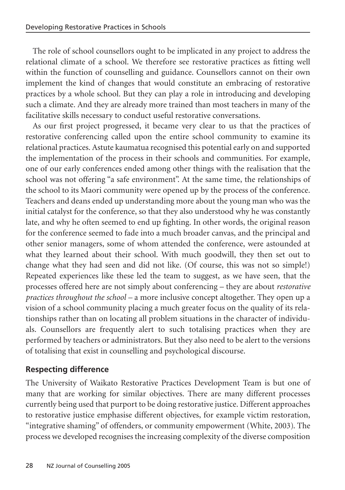The role of school counsellors ought to be implicated in any project to address the relational climate of a school. We therefore see restorative practices as fitting well within the function of counselling and guidance. Counsellors cannot on their own implement the kind of changes that would constitute an embracing of restorative practices by a whole school. But they can play a role in introducing and developing such a climate. And they are already more trained than most teachers in many of the facilitative skills necessary to conduct useful restorative conversations.

As our first project progressed, it became very clear to us that the practices of restorative conferencing called upon the entire school community to examine its relational practices. Astute kaumatua recognised this potential early on and supported the implementation of the process in their schools and communities. For example, one of our early conferences ended among other things with the realisation that the school was not offering "a safe environment". At the same time, the relationships of the school to its Maori community were opened up by the process of the conference. Teachers and deans ended up understanding more about the young man who was the initial catalyst for the conference, so that they also understood why he was constantly late, and why he often seemed to end up fighting. In other words, the original reason for the conference seemed to fade into a much broader canvas, and the principal and other senior managers, some of whom attended the conference, were astounded at what they learned about their school. With much goodwill, they then set out to change what they had seen and did not like. (Of course, this was not so simple!) Repeated experiences like these led the team to suggest, as we have seen, that the processes offered here are not simply about conferencing – they are about *restorative practices throughout the school –* a more inclusive concept altogether. They open up a vision of a school community placing a much greater focus on the quality of its relationships rather than on locating all problem situations in the character of individuals. Counsellors are frequently alert to such totalising practices when they are performed by teachers or administrators. But they also need to be alert to the versions of totalising that exist in counselling and psychological discourse.

## **Respecting difference**

The University of Waikato Restorative Practices Development Team is but one of many that are working for similar objectives. There are many different processes currently being used that purport to be doing restorative justice. Different approaches to restorative justice emphasise different objectives, for example victim restoration, "integrative shaming" of offenders, or community empowerment (White, 2003). The process we developed recognises the increasing complexity of the diverse composition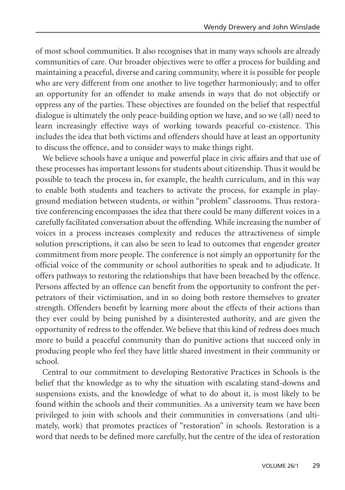of most school communities. It also recognises that in many ways schools are already communities of care. Our broader objectives were to offer a process for building and maintaining a peaceful, diverse and caring community, where it is possible for people who are very different from one another to live together harmoniously; and to offer an opportunity for an offender to make amends in ways that do not objectify or oppress any of the parties. These objectives are founded on the belief that respectful dialogue is ultimately the only peace-building option we have, and so we (all) need to learn increasingly effective ways of working towards peaceful co-existence. This includes the idea that both victims and offenders should have at least an opportunity to discuss the offence, and to consider ways to make things right.

We believe schools have a unique and powerful place in civic affairs and that use of these processes has important lessons for students about citizenship. Thus it would be possible to teach the process in, for example, the health curriculum, and in this way to enable both students and teachers to activate the process, for example in playground mediation between students, or within "problem" classrooms. Thus restorative conferencing encompasses the idea that there could be many different voices in a carefully facilitated conversation about the offending. While increasing the number of voices in a process increases complexity and reduces the attractiveness of simple solution prescriptions, it can also be seen to lead to outcomes that engender greater commitment from more people. The conference is not simply an opportunity for the official voice of the community or school authorities to speak and to adjudicate. It offers pathways to restoring the relationships that have been breached by the offence. Persons affected by an offence can benefit from the opportunity to confront the perpetrators of their victimisation, and in so doing both restore themselves to greater strength. Offenders benefit by learning more about the effects of their actions than they ever could by being punished by a disinterested authority, and are given the opportunity of redress to the offender. We believe that this kind of redress does much more to build a peaceful community than do punitive actions that succeed only in producing people who feel they have little shared investment in their community or school.

Central to our commitment to developing Restorative Practices in Schools is the belief that the knowledge as to why the situation with escalating stand-downs and suspensions exists, and the knowledge of what to do about it, is most likely to be found within the schools and their communities. As a university team we have been privileged to join with schools and their communities in conversations (and ultimately, work) that promotes practices of "restoration" in schools. Restoration is a word that needs to be defined more carefully, but the centre of the idea of restoration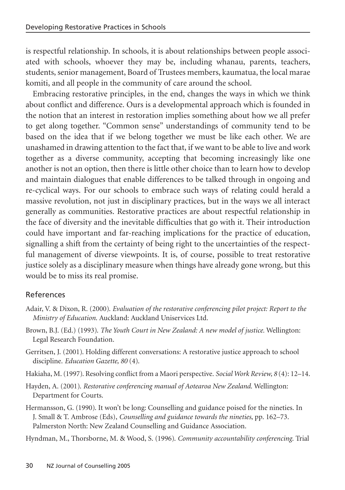is respectful relationship. In schools, it is about relationships between people associated with schools, whoever they may be, including whanau, parents, teachers, students, senior management, Board of Trustees members, kaumatua, the local marae komiti, and all people in the community of care around the school.

Embracing restorative principles, in the end, changes the ways in which we think about conflict and difference. Ours is a developmental approach which is founded in the notion that an interest in restoration implies something about how we all prefer to get along together. "Common sense" understandings of community tend to be based on the idea that if we belong together we must be like each other. We are unashamed in drawing attention to the fact that, if we want to be able to live and work together as a diverse community, accepting that becoming increasingly like one another is not an option, then there is little other choice than to learn how to develop and maintain dialogues that enable differences to be talked through in ongoing and re-cyclical ways. For our schools to embrace such ways of relating could herald a massive revolution, not just in disciplinary practices, but in the ways we all interact generally as communities. Restorative practices are about respectful relationship in the face of diversity and the inevitable difficulties that go with it. Their introduction could have important and far-reaching implications for the practice of education, signalling a shift from the certainty of being right to the uncertainties of the respectful management of diverse viewpoints. It is, of course, possible to treat restorative justice solely as a disciplinary measure when things have already gone wrong, but this would be to miss its real promise.

#### References

- Adair, V. & Dixon, R. (2000). *Evaluation of the restorative conferencing pilot project: Report to the Ministry of Education*. Auckland: Auckland Uniservices Ltd.
- Brown, B.J. (Ed.) (1993). *The Youth Court in New Zealand: A new model of justice.* Wellington: Legal Research Foundation.
- Gerritsen, J. (2001). Holding different conversations: A restorative justice approach to school discipline. *Education Gazette, 80* (4).
- Hakiaha, M. (1997). Resolving conflict from a Maori perspective. *Social Work Review, 8* (4): 12–14.
- Hayden, A. (2001). *Restorative conferencing manual of Aotearoa New Zealand*. Wellington: Department for Courts.
- Hermansson, G. (1990). It won't be long: Counselling and guidance poised for the nineties. In J. Small & T. Ambrose (Eds), *Counselling and guidance towards the nineties*, pp. 162–73. Palmerston North: New Zealand Counselling and Guidance Association.

Hyndman, M., Thorsborne, M. & Wood, S. (1996). *Community accountability conferencing*. Trial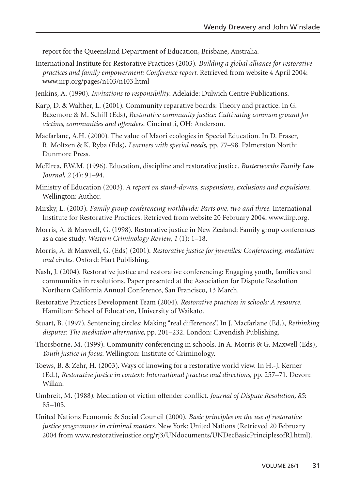report for the Queensland Department of Education, Brisbane, Australia.

- International Institute for Restorative Practices (2003). *Building a global alliance for restorative practices and family empowerment: Conference report*. Retrieved from website 4 April 2004: www.iirp.org/pages/n103/n103.html
- Jenkins, A. (1990). *Invitations to responsibility*. Adelaide: Dulwich Centre Publications.
- Karp, D. & Walther, L. (2001). Community reparative boards: Theory and practice. In G. Bazemore & M. Schiff (Eds), *Restorative community justice: Cultivating common ground for victims, communities and offenders*. Cincinatti, OH: Anderson.
- Macfarlane, A.H. (2000). The value of Maori ecologies in Special Education. In D. Fraser, R. Moltzen & K. Ryba (Eds), *Learners with special needs*, pp. 77–98. Palmerston North: Dunmore Press.
- McElrea, F.W.M. (1996). Education, discipline and restorative justice. *Butterworths Family Law Journal, 2* (4): 91–94.
- Ministry of Education (2003). *A report on stand-downs, suspensions, exclusions and expulsions*. Wellington: Author.
- Mirsky, L. (2003). *Family group conferencing worldwide: Parts one, two and three.* International Institute for Restorative Practices. Retrieved from website 20 February 2004: www.iirp.org.
- Morris, A. & Maxwell, G. (1998). Restorative justice in New Zealand: Family group conferences as a case study. *Western Criminology Review, 1* (1): 1–18.
- Morris, A. & Maxwell, G. (Eds) (2001). *Restorative justice for juveniles: Conferencing, mediation and circles.* Oxford: Hart Publishing.
- Nash, J. (2004). Restorative justice and restorative conferencing: Engaging youth, families and communities in resolutions. Paper presented at the Association for Dispute Resolution Northern California Annual Conference, San Francisco, 13 March.
- Restorative Practices Development Team (2004). *Restorative practices in schools: A resource.* Hamilton: School of Education, University of Waikato.
- Stuart, B. (1997). Sentencing circles: Making "real differences". In J. Macfarlane (Ed.), *Rethinking disputes: The mediation alternative*, pp. 201–232. London: Cavendish Publishing.
- Thorsborne, M. (1999). Community conferencing in schools. In A. Morris & G. Maxwell (Eds), *Youth justice in focus*. Wellington: Institute of Criminology.
- Toews, B. & Zehr, H. (2003). Ways of knowing for a restorative world view. In H.-J. Kerner (Ed.), *Restorative justice in context: International practice and directions*, pp. 257–71. Devon: Willan.
- Umbreit, M. (1988). Mediation of victim offender conflict. *Journal of Dispute Resolution, 85*: 85–105.
- United Nations Economic & Social Council (2000). *Basic principles on the use of restorative justice programmes in criminal matters.* New York: United Nations (Retrieved 20 February 2004 from www.restorativejustice.org/rj3/UNdocuments/UNDecBasicPrinciplesofRJ.html).